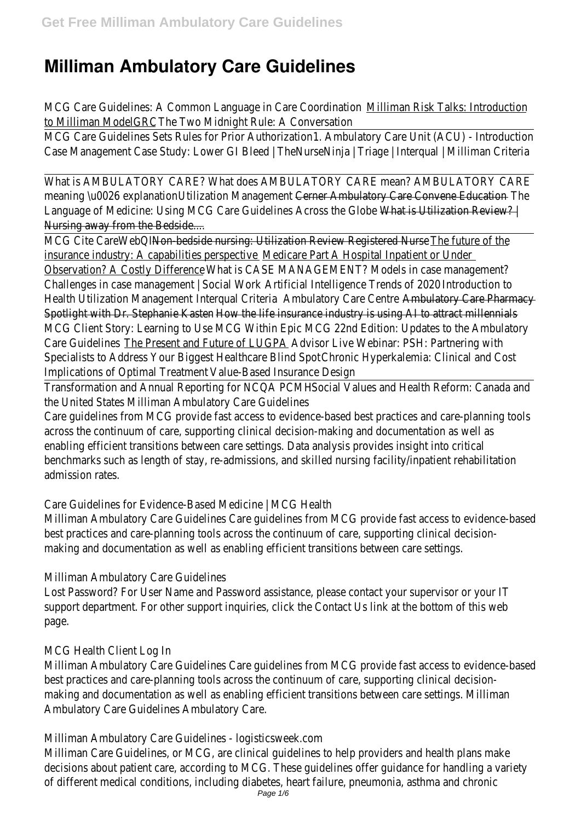# **Milliman Ambulatory Care Guidelines**

MCG Care Guidelines: A Common Language in Care Coordination Milliman Risk Talks: Introduction to Milliman ModelGRC The Two Midnight Rule: A Conversation

MCG Care Guidelines Sets Rules for Prior Authorization 1. Ambulatory Care Unit (ACU) - Introduction Case Management Case Study: Lower GI Bleed | TheNurseNinja | Triage | Interqual | Milliman Criteria

What is AMBULATORY CARE? What does AMBULATORY CARE mean? AMBULATORY CARE meaning \u0026 explanationUtilization Management Cerner Ambulatory Care Convene Education-The Language of Medicine: Using MCG Care Guidelines Across the Globe What is Utilization Review? | Nursing away from the Bedside....

MCG Cite CareWebQI Non-bedside nursing: Utilization Review Registered Nurse - The future of the insurance industry: A capabilities perspective Medicare Part A Hospital Inpatient or Under Observation? A Costly Difference What is CASE MANAGEMENT? Models in case management? Challenges in case management | Social Work Artificial Intelligence Trends of 2020 Introduction to Health Utilization Management Interqual Criteria Ambulatory Care Centre Ambulatory Care Pharmacy Spotlight with Dr. Stephanie Kasten How the life insurance industry is using AI to attract millennials MCG Client Story: Learning to Use MCG Within Epic MCG 22nd Edition: Updates to the Ambulatory Care Guidelines The Present and Future of LUGPA Advisor Live Webinar: PSH: Partnering with Specialists to Address Your Biggest Healthcare Blind Spot Chronic Hyperkalemia: Clinical and Cost Implications of Optimal Treatment Value-Based Insurance Design

Transformation and Annual Reporting for NCQA PCMH Social Values and Health Reform: Canada and the United StatesMilliman Ambulatory Care Guidelines

Care guidelines from MCG provide fast access to evidence-based best practices and care-planning tools across the continuum of care, supporting clinical decision-making and documentation as well as enabling efficient transitions between care settings. Data analysis provides insight into critical benchmarks such as length of stay, re-admissions, and skilled nursing facility/inpatient rehabilitation admission rates.

Care Guidelines for Evidence-Based Medicine | MCG Health

Milliman Ambulatory Care Guidelines Care guidelines from MCG provide fast access to evidence-based best practices and care-planning tools across the continuum of care, supporting clinical decisionmaking and documentation as well as enabling efficient transitions between care settings.

# Milliman Ambulatory Care Guidelines

Lost Password? For User Name and Password assistance, please contact your supervisor or your IT support department. For other support inquiries, click the Contact Us link at the bottom of this web page.

# MCG Health Client Log In

Milliman Ambulatory Care Guidelines Care guidelines from MCG provide fast access to evidence-based best practices and care-planning tools across the continuum of care, supporting clinical decisionmaking and documentation as well as enabling efficient transitions between care settings. Milliman Ambulatory Care Guidelines Ambulatory Care.

Milliman Ambulatory Care Guidelines - logisticsweek.com

Milliman Care Guidelines, or MCG, are clinical guidelines to help providers and health plans make decisions about patient care, according to MCG. These guidelines offer guidance for handling a variety of different medical conditions, including diabetes, heart failure, pneumonia, asthma and chronic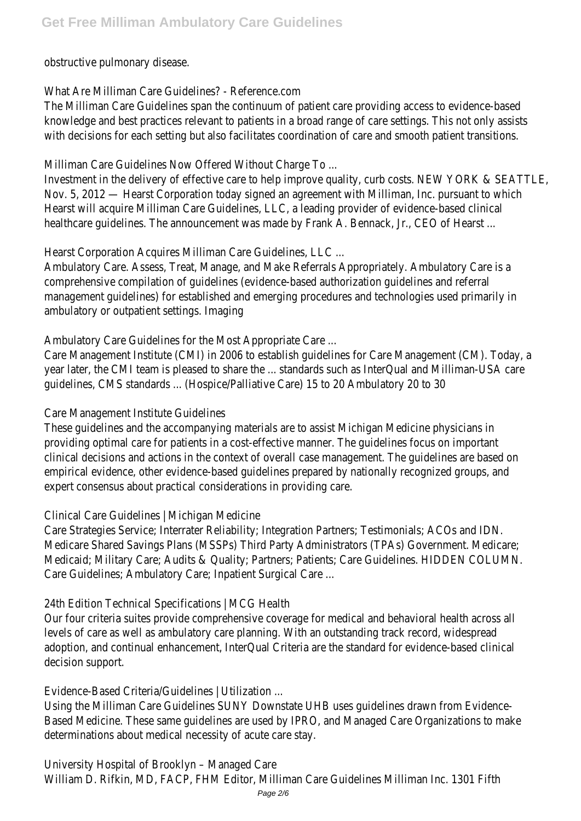obstructive pulmonary disease.

#### What Are Milliman Care Guidelines? - Reference.com

The Milliman Care Guidelines span the continuum of patient care providing access to evidence-based knowledge and best practices relevant to patients in a broad range of care settings. This not only assists with decisions for each setting but also facilitates coordination of care and smooth patient transitions.

Milliman Care Guidelines Now Offered Without Charge To ...

Investment in the delivery of effective care to help improve quality, curb costs. NEW YORK & SEATTLE Nov. 5, 2012 — Hearst Corporation today signed an agreement with Milliman, Inc. pursuant to which Hearst will acquire Milliman Care Guidelines, LLC, a leading provider of evidence-based clinical healthcare guidelines. The announcement was made by Frank A. Bennack, Jr., CEO of Hearst ...

Hearst Corporation Acquires Milliman Care Guidelines, LLC ...

Ambulatory Care. Assess, Treat, Manage, and Make Referrals Appropriately. Ambulatory Care is a comprehensive compilation of guidelines (evidence-based authorization guidelines and referral management guidelines) for established and emerging procedures and technologies used primarily in ambulatory or outpatient settings. Imaging

Ambulatory Care Guidelines for the Most Appropriate Care ...

Care Management Institute (CMI) in 2006 to establish guidelines for Care Management (CM). Today, a year later, the CMI team is pleased to share the ... standards such as InterQual and Milliman-USA care guidelines, CMS standards ... (Hospice/Palliative Care) 15 to 20 Ambulatory 20 to 30

# Care Management Institute Guidelines

These guidelines and the accompanying materials are to assist Michigan Medicine physicians in providing optimal care for patients in a cost-effective manner. The guidelines focus on important clinical decisions and actions in the context of overall case management. The guidelines are based on empirical evidence, other evidence-based quidelines prepared by nationally recognized groups, and expert consensus about practical considerations in providing care.

Clinical Care Guidelines | Michigan Medicine

Care Strategies Service; Interrater Reliability; Integration Partners; Testimonials; ACOs and IDN. Medicare Shared Savings Plans (MSSPs) Third Party Administrators (TPAs) Government. Medicare; Medicaid; Military Care; Audits & Quality; Partners; Patients; Care Guidelines. HIDDEN COLUMN. Care Guidelines; Ambulatory Care; Inpatient Surgical Care ...

# 24th Edition Technical Specifications | MCG Health

Our four criteria suites provide comprehensive coverage for medical and behavioral health across all levels of care as well as ambulatory care planning. With an outstanding track record, widespread adoption, and continual enhancement, InterQual Criteria are the standard for evidence-based clinical decision support.

# Evidence-Based Criteria/Guidelines | Utilization ...

Using the Milliman Care Guidelines SUNY Downstate UHB uses guidelines drawn from Evidence-Based Medicine. These same guidelines are used by IPRO, and Managed Care Organizations to make determinations about medical necessity of acute care stay.

University Hospital of Brooklyn – Managed Care

William D. Rifkin, MD, FACP, FHM Editor, Milliman Care Guidelines Milliman Inc. 1301 Fifth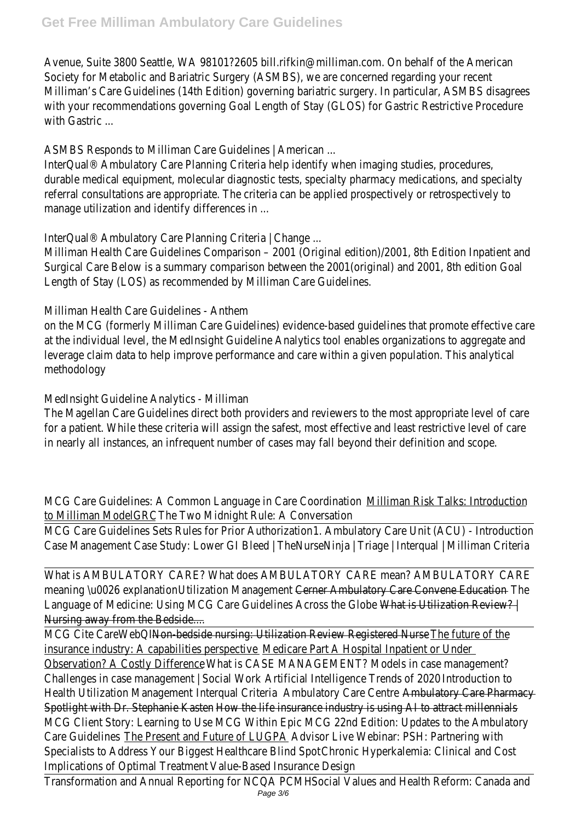Avenue, Suite 3800 Seattle, WA 98101?2605 bill.rifkin@milliman.com. On behalf of the American Society for Metabolic and Bariatric Surgery (ASMBS), we are concerned regarding your recent Milliman's Care Guidelines (14th Edition) governing bariatric surgery. In particular, ASMBS disagrees with your recommendations governing Goal Length of Stay (GLOS) for Gastric Restrictive Procedure with Gastric ...

ASMBS Responds to Milliman Care Guidelines | American ...

InterQual® Ambulatory Care Planning Criteria help identify when imaging studies, procedures, durable medical equipment, molecular diagnostic tests, specialty pharmacy medications, and specialty referral consultations are appropriate. The criteria can be applied prospectively or retrospectively to manage utilization and identify differences in ...

InterQual® Ambulatory Care Planning Criteria | Change ...

Milliman Health Care Guidelines Comparison – 2001 (Original edition)/2001, 8th Edition Inpatient and Surgical Care Below is a summary comparison between the 2001(original) and 2001, 8th edition Goal Length of Stay (LOS) as recommended by Milliman Care Guidelines.

Milliman Health Care Guidelines - Anthem

on the MCG (formerly Milliman Care Guidelines) evidence-based guidelines that promote effective care at the individual level, the MedInsight Guideline Analytics tool enables organizations to aggregate and leverage claim data to help improve performance and care within a given population. This analytica methodology

MedInsight Guideline Analytics - Milliman

The Magellan Care Guidelines direct both providers and reviewers to the most appropriate level of care for a patient. While these criteria will assign the safest, most effective and least restrictive level of care in nearly all instances, an infrequent number of cases may fall beyond their definition and scope.

MCG Care Guidelines: A Common Language in Care Coordination Milliman Risk Talks: Introduction to Milliman ModelGRC The Two Midnight Rule: A Conversation

MCG Care Guidelines Sets Rules for Prior Authorization 1. Ambulatory Care Unit (ACU) - Introduction Case Management Case Study: Lower GI Bleed | TheNurseNinja | Triage | Interqual | Milliman Criteria

What is AMBULATORY CARE? What does AMBULATORY CARE mean? AMBULATORY CARE meaning \u0026 explanationUtilization Management Cerner Ambulatory Care Convene Education-The Language of Medicine: Using MCG Care Guidelines Across the Globe What is Utilization Review? | Nursing away from the Bedside....

MCG Cite CareWebQI Non-bedside nursing: Utilization Review Registered Nurse - The future of the insurance industry: A capabilities perspective Medicare Part A Hospital Inpatient or Under Observation? A Costly Difference What is CASE MANAGEMENT? Models in case management? Challenges in case management | Social Work Artificial Intelligence Trends of 2020 Introduction to Health Utilization Management Interqual Criteria Ambulatory Care Centre Ambulatory Care Pharmacy Spotlight with Dr. Stephanie Kasten How the life insurance industry is using AI to attract millennials MCG Client Story: Learning to Use MCG Within Epic MCG 22nd Edition: Updates to the Ambulatory Care Guidelines The Present and Future of LUGPA Advisor Live Webinar: PSH: Partnering with Specialists to Address Your Biggest Healthcare Blind Spot Chronic Hyperkalemia: Clinical and Cost Implications of Optimal Treatment Value-Based Insurance Design

Transformation and Annual Reporting for NCQA PCMH Social Values and Health Reform: Canada and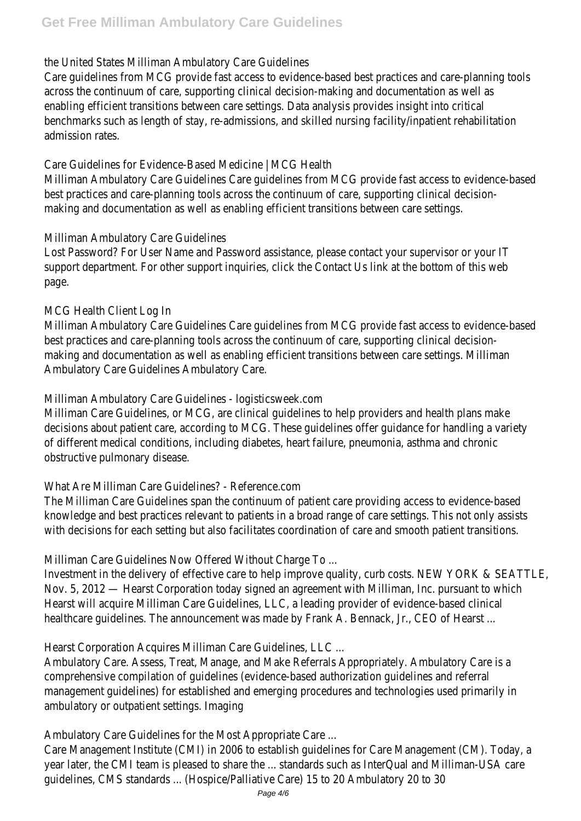#### the United StatesMilliman Ambulatory Care Guidelines

Care guidelines from MCG provide fast access to evidence-based best practices and care-planning tools across the continuum of care, supporting clinical decision-making and documentation as well as enabling efficient transitions between care settings. Data analysis provides insight into critical benchmarks such as length of stay, re-admissions, and skilled nursing facility/inpatient rehabilitation admission rates.

#### Care Guidelines for Evidence-Based Medicine | MCG Health

Milliman Ambulatory Care Guidelines Care guidelines from MCG provide fast access to evidence-based best practices and care-planning tools across the continuum of care, supporting clinical decisionmaking and documentation as well as enabling efficient transitions between care settings.

#### Milliman Ambulatory Care Guidelines

Lost Password? For User Name and Password assistance, please contact your supervisor or your IT support department. For other support inquiries, click the Contact Us link at the bottom of this web page.

#### MCG Health Client Log In

Milliman Ambulatory Care Guidelines Care guidelines from MCG provide fast access to evidence-based best practices and care-planning tools across the continuum of care, supporting clinical decisionmaking and documentation as well as enabling efficient transitions between care settings. Milliman Ambulatory Care Guidelines Ambulatory Care.

#### Milliman Ambulatory Care Guidelines - logisticsweek.com

Milliman Care Guidelines, or MCG, are clinical guidelines to help providers and health plans make decisions about patient care, according to MCG. These guidelines offer guidance for handling a variety of different medical conditions, including diabetes, heart failure, pneumonia, asthma and chronic obstructive pulmonary disease.

# What Are Milliman Care Guidelines? - Reference.com

The Milliman Care Guidelines span the continuum of patient care providing access to evidence-based knowledge and best practices relevant to patients in a broad range of care settings. This not only assists with decisions for each setting but also facilitates coordination of care and smooth patient transitions

Milliman Care Guidelines Now Offered Without Charge To ...

Investment in the delivery of effective care to help improve quality, curb costs. NEW YORK & SEATTLE Nov. 5, 2012 — Hearst Corporation today signed an agreement with Milliman, Inc. pursuant to which Hearst will acquire Milliman Care Guidelines, LLC, a leading provider of evidence-based clinical healthcare quidelines. The announcement was made by Frank A. Bennack, Jr., CEO of Hearst...

Hearst Corporation Acquires Milliman Care Guidelines, LLC ...

Ambulatory Care. Assess, Treat, Manage, and Make Referrals Appropriately. Ambulatory Care is a comprehensive compilation of guidelines (evidence-based authorization guidelines and referral management guidelines) for established and emerging procedures and technologies used primarily in ambulatory or outpatient settings. Imaging

Ambulatory Care Guidelines for the Most Appropriate Care ...

Care Management Institute (CMI) in 2006 to establish guidelines for Care Management (CM). Today, a year later, the CMI team is pleased to share the ... standards such as InterQual and Milliman-USA care guidelines, CMS standards ... (Hospice/Palliative Care) 15 to 20 Ambulatory 20 to 30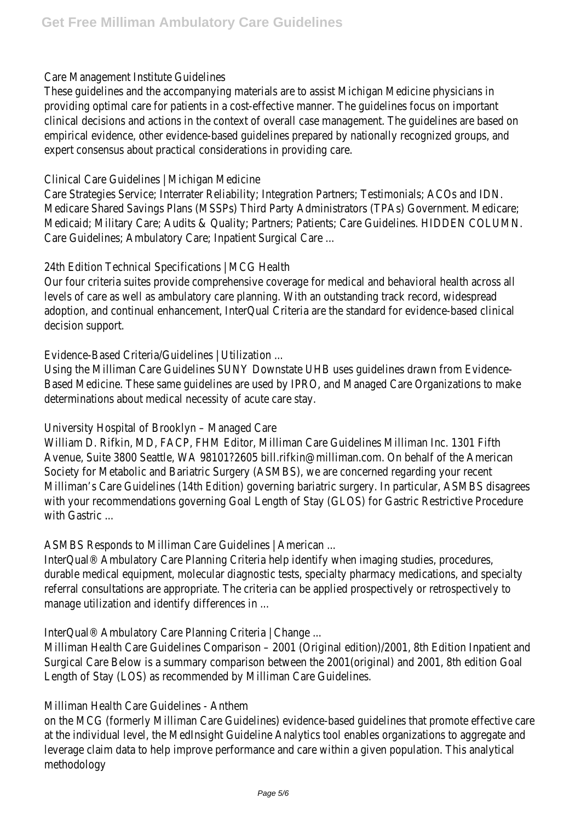#### Care Management Institute Guidelines

These guidelines and the accompanying materials are to assist Michigan Medicine physicians in providing optimal care for patients in a cost-effective manner. The guidelines focus on important clinical decisions and actions in the context of overall case management. The guidelines are based on empirical evidence, other evidence-based quidelines prepared by nationally recognized groups, and expert consensus about practical considerations in providing care.

#### Clinical Care Guidelines | Michigan Medicine

Care Strategies Service; Interrater Reliability; Integration Partners; Testimonials; ACOs and IDN. Medicare Shared Savings Plans (MSSPs) Third Party Administrators (TPAs) Government. Medicare; Medicaid; Military Care; Audits & Quality; Partners; Patients; Care Guidelines. HIDDEN COLUMN. Care Guidelines; Ambulatory Care; Inpatient Surgical Care ...

#### 24th Edition Technical Specifications | MCG Health

Our four criteria suites provide comprehensive coverage for medical and behavioral health across all levels of care as well as ambulatory care planning. With an outstanding track record, widespread adoption, and continual enhancement, InterQual Criteria are the standard for evidence-based clinica decision support.

#### Evidence-Based Criteria/Guidelines | Utilization ...

Using the Milliman Care Guidelines SUNY Downstate UHB uses guidelines drawn from Evidence-Based Medicine. These same guidelines are used by IPRO, and Managed Care Organizations to make determinations about medical necessity of acute care stay.

# University Hospital of Brooklyn – Managed Care

William D. Rifkin, MD, FACP, FHM Editor, Milliman Care Guidelines Milliman Inc. 1301 Fifth Avenue, Suite 3800 Seattle, WA 98101?2605 bill.rifkin@milliman.com. On behalf of the American Society for Metabolic and Bariatric Surgery (ASMBS), we are concerned regarding your recent Milliman's Care Guidelines (14th Edition) governing bariatric surgery. In particular, ASMBS disagrees with your recommendations governing Goal Length of Stay (GLOS) for Gastric Restrictive Procedure with Gastric ...

ASMBS Responds to Milliman Care Guidelines | American ...

InterQual® Ambulatory Care Planning Criteria help identify when imaging studies, procedures, durable medical equipment, molecular diagnostic tests, specialty pharmacy medications, and specialty referral consultations are appropriate. The criteria can be applied prospectively or retrospectively to manage utilization and identify differences in ...

InterQual® Ambulatory Care Planning Criteria | Change ...

Milliman Health Care Guidelines Comparison – 2001 (Original edition)/2001, 8th Edition Inpatient and Surgical Care Below is a summary comparison between the 2001(original) and 2001, 8th edition Goal Length of Stay (LOS) as recommended by Milliman Care Guidelines.

Milliman Health Care Guidelines - Anthem

on the MCG (formerly Milliman Care Guidelines) evidence-based guidelines that promote effective care at the individual level, the MedInsight Guideline Analytics tool enables organizations to aggregate and leverage claim data to help improve performance and care within a given population. This analytica methodology